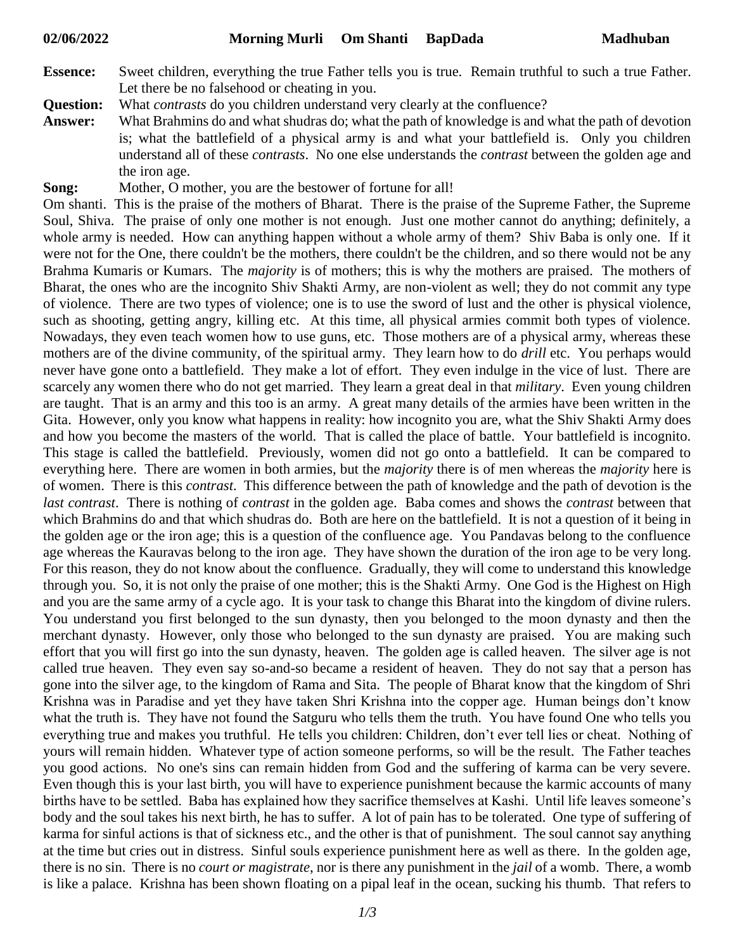- **Essence:** Sweet children, everything the true Father tells you is true. Remain truthful to such a true Father. Let there be no falsehood or cheating in you.
- **Question:** What *contrasts* do you children understand very clearly at the confluence?
- **Answer:** What Brahmins do and what shudras do; what the path of knowledge is and what the path of devotion is; what the battlefield of a physical army is and what your battlefield is. Only you children understand all of these *contrasts*. No one else understands the *contrast* between the golden age and the iron age.
- **Song:** Mother, O mother, you are the bestower of fortune for all!

Om shanti. This is the praise of the mothers of Bharat. There is the praise of the Supreme Father, the Supreme Soul, Shiva. The praise of only one mother is not enough. Just one mother cannot do anything; definitely, a whole army is needed. How can anything happen without a whole army of them? Shiv Baba is only one. If it were not for the One, there couldn't be the mothers, there couldn't be the children, and so there would not be any Brahma Kumaris or Kumars. The *majority* is of mothers; this is why the mothers are praised. The mothers of Bharat, the ones who are the incognito Shiv Shakti Army, are non-violent as well; they do not commit any type of violence. There are two types of violence; one is to use the sword of lust and the other is physical violence, such as shooting, getting angry, killing etc. At this time, all physical armies commit both types of violence. Nowadays, they even teach women how to use guns, etc. Those mothers are of a physical army, whereas these mothers are of the divine community, of the spiritual army. They learn how to do *drill* etc. You perhaps would never have gone onto a battlefield. They make a lot of effort. They even indulge in the vice of lust. There are scarcely any women there who do not get married. They learn a great deal in that *military*. Even young children are taught. That is an army and this too is an army. A great many details of the armies have been written in the Gita. However, only you know what happens in reality: how incognito you are, what the Shiv Shakti Army does and how you become the masters of the world. That is called the place of battle. Your battlefield is incognito. This stage is called the battlefield. Previously, women did not go onto a battlefield. It can be compared to everything here. There are women in both armies, but the *majority* there is of men whereas the *majority* here is of women. There is this *contrast*. This difference between the path of knowledge and the path of devotion is the *last contrast*. There is nothing of *contrast* in the golden age. Baba comes and shows the *contrast* between that which Brahmins do and that which shudras do. Both are here on the battlefield. It is not a question of it being in the golden age or the iron age; this is a question of the confluence age. You Pandavas belong to the confluence age whereas the Kauravas belong to the iron age. They have shown the duration of the iron age to be very long. For this reason, they do not know about the confluence. Gradually, they will come to understand this knowledge through you. So, it is not only the praise of one mother; this is the Shakti Army. One God is the Highest on High and you are the same army of a cycle ago. It is your task to change this Bharat into the kingdom of divine rulers. You understand you first belonged to the sun dynasty, then you belonged to the moon dynasty and then the merchant dynasty. However, only those who belonged to the sun dynasty are praised. You are making such effort that you will first go into the sun dynasty, heaven. The golden age is called heaven. The silver age is not called true heaven. They even say so-and-so became a resident of heaven. They do not say that a person has gone into the silver age, to the kingdom of Rama and Sita. The people of Bharat know that the kingdom of Shri Krishna was in Paradise and yet they have taken Shri Krishna into the copper age. Human beings don't know what the truth is. They have not found the Satguru who tells them the truth. You have found One who tells you everything true and makes you truthful. He tells you children: Children, don't ever tell lies or cheat. Nothing of yours will remain hidden. Whatever type of action someone performs, so will be the result. The Father teaches you good actions. No one's sins can remain hidden from God and the suffering of karma can be very severe. Even though this is your last birth, you will have to experience punishment because the karmic accounts of many births have to be settled. Baba has explained how they sacrifice themselves at Kashi. Until life leaves someone's body and the soul takes his next birth, he has to suffer. A lot of pain has to be tolerated. One type of suffering of karma for sinful actions is that of sickness etc., and the other is that of punishment. The soul cannot say anything at the time but cries out in distress. Sinful souls experience punishment here as well as there. In the golden age, there is no sin. There is no *court or magistrate*, nor is there any punishment in the *jail* of a womb. There, a womb is like a palace. Krishna has been shown floating on a pipal leaf in the ocean, sucking his thumb. That refers to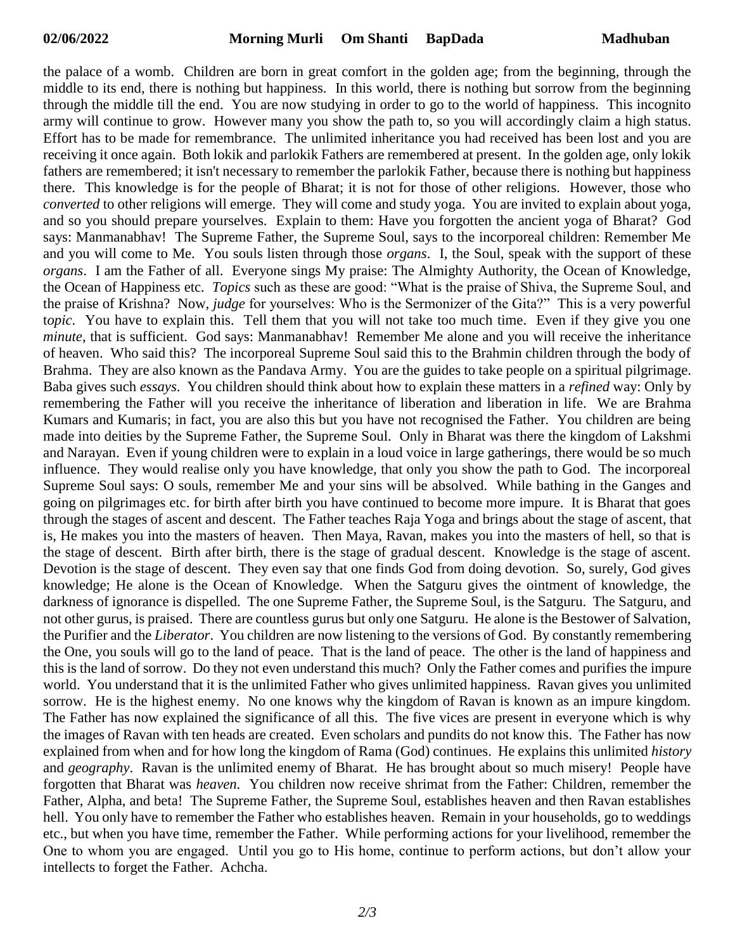the palace of a womb. Children are born in great comfort in the golden age; from the beginning, through the middle to its end, there is nothing but happiness. In this world, there is nothing but sorrow from the beginning through the middle till the end. You are now studying in order to go to the world of happiness. This incognito army will continue to grow. However many you show the path to, so you will accordingly claim a high status. Effort has to be made for remembrance. The unlimited inheritance you had received has been lost and you are receiving it once again. Both lokik and parlokik Fathers are remembered at present. In the golden age, only lokik fathers are remembered; it isn't necessary to remember the parlokik Father, because there is nothing but happiness there. This knowledge is for the people of Bharat; it is not for those of other religions. However, those who *converted* to other religions will emerge. They will come and study yoga. You are invited to explain about yoga, and so you should prepare yourselves. Explain to them: Have you forgotten the ancient yoga of Bharat? God says: Manmanabhav! The Supreme Father, the Supreme Soul, says to the incorporeal children: Remember Me and you will come to Me. You souls listen through those *organs*. I, the Soul, speak with the support of these *organs*. I am the Father of all. Everyone sings My praise: The Almighty Authority, the Ocean of Knowledge, the Ocean of Happiness etc. *Topics* such as these are good: "What is the praise of Shiva, the Supreme Soul, and the praise of Krishna? Now, *judge* for yourselves: Who is the Sermonizer of the Gita?" This is a very powerful t*opic*. You have to explain this. Tell them that you will not take too much time. Even if they give you one *minute*, that is sufficient. God says: Manmanabhav! Remember Me alone and you will receive the inheritance of heaven. Who said this? The incorporeal Supreme Soul said this to the Brahmin children through the body of Brahma. They are also known as the Pandava Army. You are the guides to take people on a spiritual pilgrimage. Baba gives such *essays*. You children should think about how to explain these matters in a *refined* way: Only by remembering the Father will you receive the inheritance of liberation and liberation in life. We are Brahma Kumars and Kumaris; in fact, you are also this but you have not recognised the Father. You children are being made into deities by the Supreme Father, the Supreme Soul. Only in Bharat was there the kingdom of Lakshmi and Narayan. Even if young children were to explain in a loud voice in large gatherings, there would be so much influence. They would realise only you have knowledge, that only you show the path to God. The incorporeal Supreme Soul says: O souls, remember Me and your sins will be absolved. While bathing in the Ganges and going on pilgrimages etc. for birth after birth you have continued to become more impure. It is Bharat that goes through the stages of ascent and descent. The Father teaches Raja Yoga and brings about the stage of ascent, that is, He makes you into the masters of heaven. Then Maya, Ravan, makes you into the masters of hell, so that is the stage of descent. Birth after birth, there is the stage of gradual descent. Knowledge is the stage of ascent. Devotion is the stage of descent. They even say that one finds God from doing devotion. So, surely, God gives knowledge; He alone is the Ocean of Knowledge. When the Satguru gives the ointment of knowledge, the darkness of ignorance is dispelled. The one Supreme Father, the Supreme Soul, is the Satguru. The Satguru, and not other gurus, is praised. There are countless gurus but only one Satguru. He alone is the Bestower of Salvation, the Purifier and the *Liberator*. You children are now listening to the versions of God. By constantly remembering the One, you souls will go to the land of peace. That is the land of peace. The other is the land of happiness and this is the land of sorrow. Do they not even understand this much? Only the Father comes and purifies the impure world. You understand that it is the unlimited Father who gives unlimited happiness. Ravan gives you unlimited sorrow. He is the highest enemy. No one knows why the kingdom of Ravan is known as an impure kingdom. The Father has now explained the significance of all this. The five vices are present in everyone which is why the images of Ravan with ten heads are created. Even scholars and pundits do not know this. The Father has now explained from when and for how long the kingdom of Rama (God) continues. He explains this unlimited *history* and *geography*. Ravan is the unlimited enemy of Bharat. He has brought about so much misery! People have forgotten that Bharat was *heaven*. You children now receive shrimat from the Father: Children, remember the Father, Alpha, and beta! The Supreme Father, the Supreme Soul, establishes heaven and then Ravan establishes hell. You only have to remember the Father who establishes heaven. Remain in your households, go to weddings etc., but when you have time, remember the Father. While performing actions for your livelihood, remember the One to whom you are engaged. Until you go to His home, continue to perform actions, but don't allow your intellects to forget the Father. Achcha.